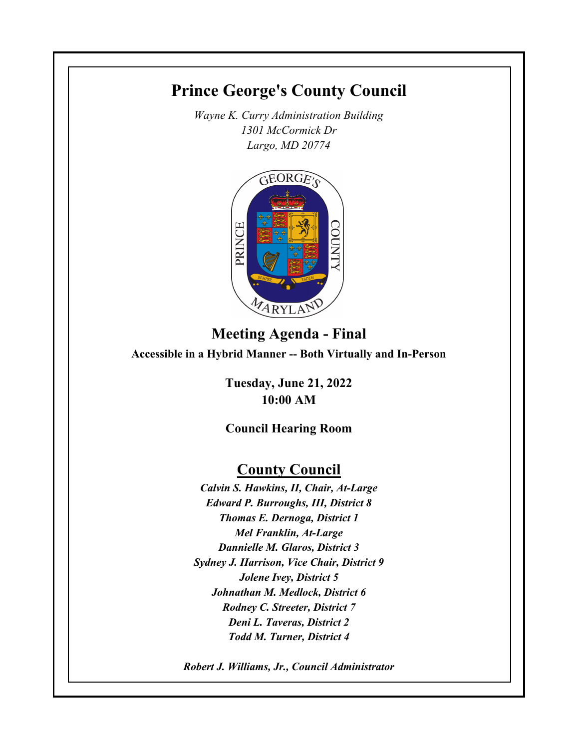# **Prince George's County Council**

*Wayne K. Curry Administration Building 1301 McCormick Dr Largo, MD 20774*



# **Meeting Agenda - Final Accessible in a Hybrid Manner -- Both Virtually and In-Person**

**Tuesday, June 21, 2022 10:00 AM**

# **Council Hearing Room**

# **County Council**

*Calvin S. Hawkins, II, Chair, At-Large Edward P. Burroughs, III, District 8 Thomas E. Dernoga, District 1 Mel Franklin, At-Large Dannielle M. Glaros, District 3 Sydney J. Harrison, Vice Chair, District 9 Jolene Ivey, District 5 Johnathan M. Medlock, District 6 Rodney C. Streeter, District 7 Deni L. Taveras, District 2 Todd M. Turner, District 4*

*Robert J. Williams, Jr., Council Administrator*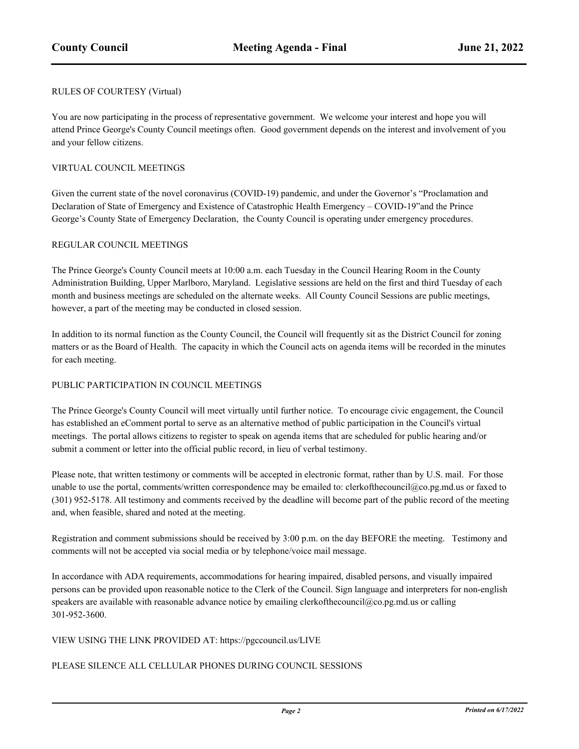### RULES OF COURTESY (Virtual)

You are now participating in the process of representative government. We welcome your interest and hope you will attend Prince George's County Council meetings often. Good government depends on the interest and involvement of you and your fellow citizens.

### VIRTUAL COUNCIL MEETINGS

Given the current state of the novel coronavirus (COVID-19) pandemic, and under the Governor's "Proclamation and Declaration of State of Emergency and Existence of Catastrophic Health Emergency – COVID-19"and the Prince George's County State of Emergency Declaration, the County Council is operating under emergency procedures.

### REGULAR COUNCIL MEETINGS

The Prince George's County Council meets at 10:00 a.m. each Tuesday in the Council Hearing Room in the County Administration Building, Upper Marlboro, Maryland. Legislative sessions are held on the first and third Tuesday of each month and business meetings are scheduled on the alternate weeks. All County Council Sessions are public meetings, however, a part of the meeting may be conducted in closed session.

In addition to its normal function as the County Council, the Council will frequently sit as the District Council for zoning matters or as the Board of Health. The capacity in which the Council acts on agenda items will be recorded in the minutes for each meeting.

### PUBLIC PARTICIPATION IN COUNCIL MEETINGS

The Prince George's County Council will meet virtually until further notice. To encourage civic engagement, the Council has established an eComment portal to serve as an alternative method of public participation in the Council's virtual meetings. The portal allows citizens to register to speak on agenda items that are scheduled for public hearing and/or submit a comment or letter into the official public record, in lieu of verbal testimony.

Please note, that written testimony or comments will be accepted in electronic format, rather than by U.S. mail. For those unable to use the portal, comments/written correspondence may be emailed to: clerkofthecouncil@co.pg.md.us or faxed to (301) 952-5178. All testimony and comments received by the deadline will become part of the public record of the meeting and, when feasible, shared and noted at the meeting.

Registration and comment submissions should be received by 3:00 p.m. on the day BEFORE the meeting. Testimony and comments will not be accepted via social media or by telephone/voice mail message.

In accordance with ADA requirements, accommodations for hearing impaired, disabled persons, and visually impaired persons can be provided upon reasonable notice to the Clerk of the Council. Sign language and interpreters for non-english speakers are available with reasonable advance notice by emailing clerkofthecouncil@co.pg.md.us or calling 301-952-3600.

### VIEW USING THE LINK PROVIDED AT: https://pgccouncil.us/LIVE

### PLEASE SILENCE ALL CELLULAR PHONES DURING COUNCIL SESSIONS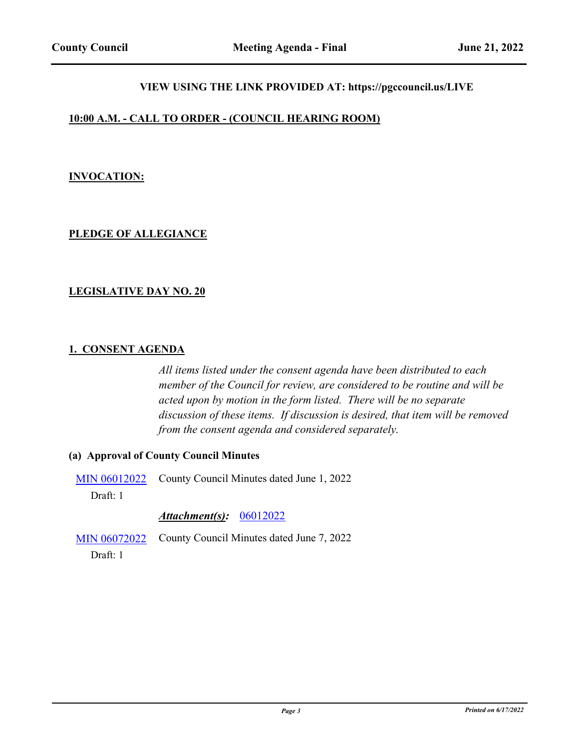# **VIEW USING THE LINK PROVIDED AT: https://pgccouncil.us/LIVE**

### **10:00 A.M. - CALL TO ORDER - (COUNCIL HEARING ROOM)**

### **INVOCATION:**

# **PLEDGE OF ALLEGIANCE**

### **LEGISLATIVE DAY NO. 20**

### **1. CONSENT AGENDA**

*All items listed under the consent agenda have been distributed to each member of the Council for review, are considered to be routine and will be acted upon by motion in the form listed. There will be no separate discussion of these items. If discussion is desired, that item will be removed from the consent agenda and considered separately.*

### **(a) Approval of County Council Minutes**

[MIN 06012022](http://princegeorgescountymd.legistar.com/gateway.aspx?m=l&id=/matter.aspx?key=15099) County Council Minutes dated June 1, 2022

Draft: 1

### *Attachment(s):* [06012022](http://princegeorgescountymd.legistar.com/gateway.aspx?M=F&ID=61fb5dcf-3212-4937-b86a-cf9b708ab176.pdf)

[MIN 06072022](http://princegeorgescountymd.legistar.com/gateway.aspx?m=l&id=/matter.aspx?key=15112) County Council Minutes dated June 7, 2022

Draft: 1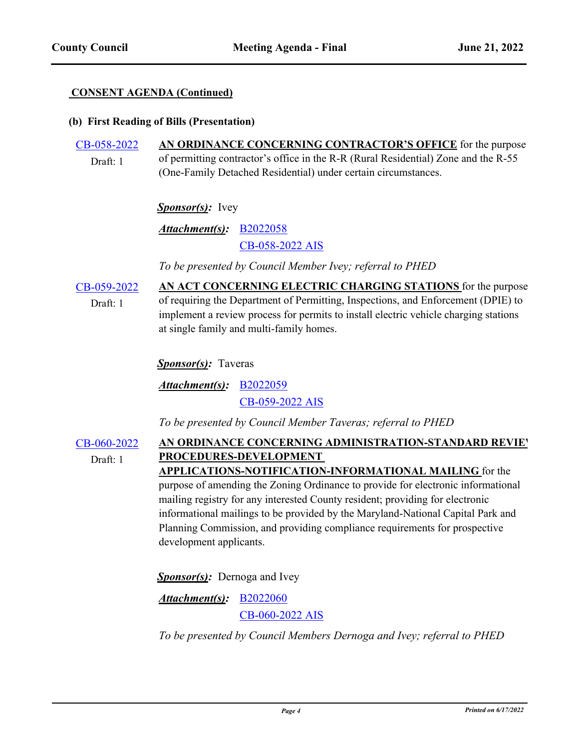### **CONSENT AGENDA (Continued)**

### **(b) First Reading of Bills (Presentation)**

#### [CB-058-2022](http://princegeorgescountymd.legistar.com/gateway.aspx?m=l&id=/matter.aspx?key=14470) **AN ORDINANCE CONCERNING CONTRACTOR'S OFFICE** for the purpose of permitting contractor's office in the R-R (Rural Residential) Zone and the R-55 (One-Family Detached Residential) under certain circumstances. Draft: 1

### Sponsor(s): Ivey

[B2022058](http://princegeorgescountymd.legistar.com/gateway.aspx?M=F&ID=0521e38e-d2a9-41f1-a45b-945383fc1985.docx) *Attachment(s):* [CB-058-2022 AIS](http://princegeorgescountymd.legistar.com/gateway.aspx?M=F&ID=9c118bac-0e6e-4861-b9cf-2b2cf98966c3.pdf)

*To be presented by Council Member Ivey; referral to PHED*

[CB-059-2022](http://princegeorgescountymd.legistar.com/gateway.aspx?m=l&id=/matter.aspx?key=14699) **AN ACT CONCERNING ELECTRIC CHARGING STATIONS** for the purpose of requiring the Department of Permitting, Inspections, and Enforcement (DPIE) to implement a review process for permits to install electric vehicle charging stations at single family and multi-family homes. Draft: 1

*Sponsor(s):* Taveras

[B2022059](http://princegeorgescountymd.legistar.com/gateway.aspx?M=F&ID=12be996c-b907-47df-99d9-7d4b230adab4.docx) *Attachment(s):* [CB-059-2022 AIS](http://princegeorgescountymd.legistar.com/gateway.aspx?M=F&ID=d5366af2-8d4f-4080-b8b5-f8b8b7913f26.pdf)

*To be presented by Council Member Taveras; referral to PHED*

[CB-060-2022](http://princegeorgescountymd.legistar.com/gateway.aspx?m=l&id=/matter.aspx?key=14794) AN ORDINANCE CONCERNING ADMINISTRATION-STANDARD REVIEY **PROCEDURES-DEVELOPMENT APPLICATIONS-NOTIFICATION-INFORMATIONAL MAILING** for the Draft: 1

purpose of amending the Zoning Ordinance to provide for electronic informational mailing registry for any interested County resident; providing for electronic informational mailings to be provided by the Maryland-National Capital Park and Planning Commission, and providing compliance requirements for prospective development applicants.

**Sponsor(s):** Dernoga and Ivey

[B2022060](http://princegeorgescountymd.legistar.com/gateway.aspx?M=F&ID=b53b6130-3fa9-4065-9d75-d3c516303483.docx) *Attachment(s):* [CB-060-2022 AIS](http://princegeorgescountymd.legistar.com/gateway.aspx?M=F&ID=b85b33c9-89e2-4dae-8761-352f343e3dc4.pdf)

*To be presented by Council Members Dernoga and Ivey; referral to PHED*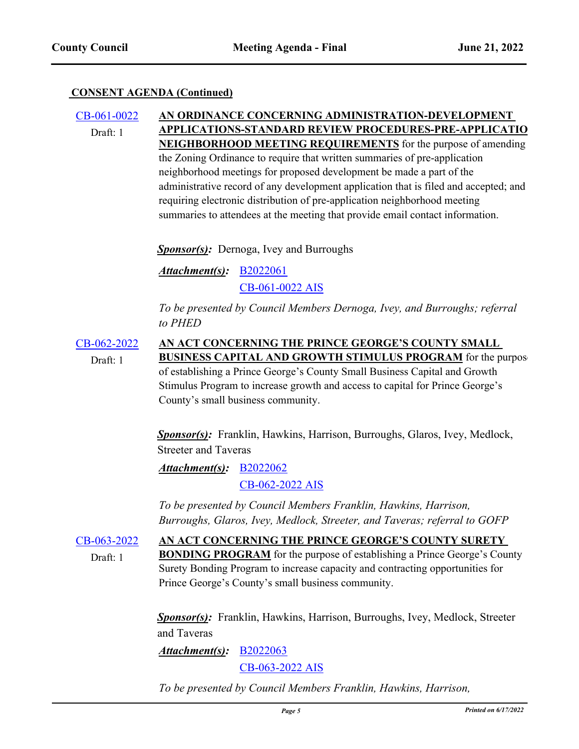### **CONSENT AGENDA (Continued)**

[CB-061-0022](http://princegeorgescountymd.legistar.com/gateway.aspx?m=l&id=/matter.aspx?key=14795) **AN ORDINANCE CONCERNING ADMINISTRATION-DEVELOPMENT APPLICATIONS-STANDARD REVIEW PROCEDURES-PRE-APPLICATIO NEIGHBORHOOD MEETING REQUIREMENTS** for the purpose of amending the Zoning Ordinance to require that written summaries of pre-application neighborhood meetings for proposed development be made a part of the administrative record of any development application that is filed and accepted; and requiring electronic distribution of pre-application neighborhood meeting summaries to attendees at the meeting that provide email contact information. Draft: 1

*Sponsor(s)*: Dernoga, Ivey and Burroughs

*Attachment(s):* **[B2022061](http://princegeorgescountymd.legistar.com/gateway.aspx?M=F&ID=134b90f8-34fc-438d-89a2-07a33bca9cd6.docx)** 

[CB-061-0022 AIS](http://princegeorgescountymd.legistar.com/gateway.aspx?M=F&ID=6d8812c6-6f4d-43a7-9184-4a69a02dfaa2.pdf)

*To be presented by Council Members Dernoga, Ivey, and Burroughs; referral to PHED*

[CB-062-2022](http://princegeorgescountymd.legistar.com/gateway.aspx?m=l&id=/matter.aspx?key=15051) **AN ACT CONCERNING THE PRINCE GEORGE'S COUNTY SMALL BUSINESS CAPITAL AND GROWTH STIMULUS PROGRAM** for the purpose of establishing a Prince George's County Small Business Capital and Growth Stimulus Program to increase growth and access to capital for Prince George's County's small business community. Draft: 1

> *Sponsor(s):* Franklin, Hawkins, Harrison, Burroughs, Glaros, Ivey, Medlock, Streeter and Taveras

[B2022062](http://princegeorgescountymd.legistar.com/gateway.aspx?M=F&ID=76346c73-d1f4-4b46-9152-d29ae45fcf90.doc) *Attachment(s):* [CB-062-2022 AIS](http://princegeorgescountymd.legistar.com/gateway.aspx?M=F&ID=578ef5be-8d0d-49bc-bcf8-59a60ad3e086.pdf)

*To be presented by Council Members Franklin, Hawkins, Harrison, Burroughs, Glaros, Ivey, Medlock, Streeter, and Taveras; referral to GOFP*

[CB-063-2022](http://princegeorgescountymd.legistar.com/gateway.aspx?m=l&id=/matter.aspx?key=15052) **AN ACT CONCERNING THE PRINCE GEORGE'S COUNTY SURETY BONDING PROGRAM** for the purpose of establishing a Prince George's County Surety Bonding Program to increase capacity and contracting opportunities for Prince George's County's small business community. Draft: 1

> *Sponsor(s):* Franklin, Hawkins, Harrison, Burroughs, Ivey, Medlock, Streeter and Taveras

[B2022063](http://princegeorgescountymd.legistar.com/gateway.aspx?M=F&ID=7b9c9cce-8602-4c08-a2db-bff1438b030d.doc) [CB-063-2022 AIS](http://princegeorgescountymd.legistar.com/gateway.aspx?M=F&ID=1c05fdda-375f-44a7-bfdd-ae3d55642c44.pdf) *Attachment(s):*

*To be presented by Council Members Franklin, Hawkins, Harrison,*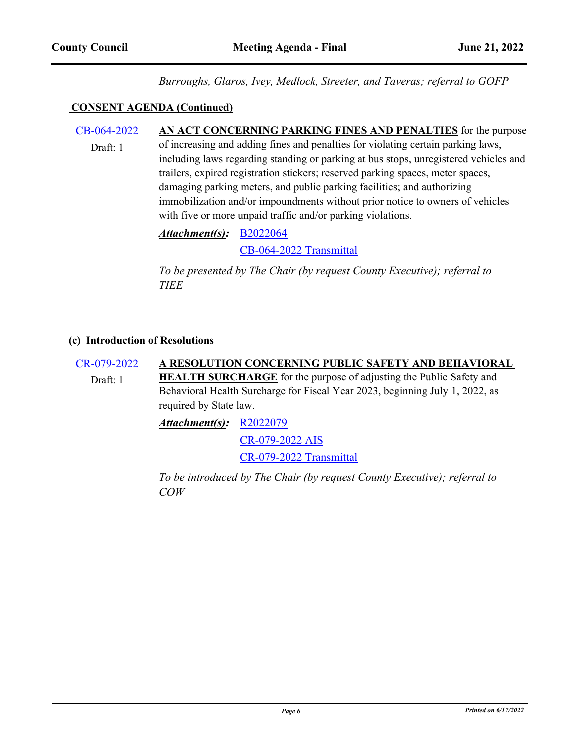*Burroughs, Glaros, Ivey, Medlock, Streeter, and Taveras; referral to GOFP*

### **CONSENT AGENDA (Continued)**

[CB-064-2022](http://princegeorgescountymd.legistar.com/gateway.aspx?m=l&id=/matter.aspx?key=15085) **AN ACT CONCERNING PARKING FINES AND PENALTIES** for the purpose of increasing and adding fines and penalties for violating certain parking laws, including laws regarding standing or parking at bus stops, unregistered vehicles and trailers, expired registration stickers; reserved parking spaces, meter spaces, damaging parking meters, and public parking facilities; and authorizing immobilization and/or impoundments without prior notice to owners of vehicles with five or more unpaid traffic and/or parking violations. Draft: 1

> [B2022064](http://princegeorgescountymd.legistar.com/gateway.aspx?M=F&ID=74712da1-6172-4599-b432-0e3e00cb865a.doc) *Attachment(s):* [CB-064-2022 Transmittal](http://princegeorgescountymd.legistar.com/gateway.aspx?M=F&ID=256de713-aefb-4714-a8b2-ffc08579c9f9.pdf)

*To be presented by The Chair (by request County Executive); referral to TIEE*

### **(c) Introduction of Resolutions**

[CR-079-2022](http://princegeorgescountymd.legistar.com/gateway.aspx?m=l&id=/matter.aspx?key=15087) **A RESOLUTION CONCERNING PUBLIC SAFETY AND BEHAVIORAL HEALTH SURCHARGE** for the purpose of adjusting the Public Safety and Behavioral Health Surcharge for Fiscal Year 2023, beginning July 1, 2022, as required by State law. Draft: 1 *Attachment(s):* [R2022079](http://princegeorgescountymd.legistar.com/gateway.aspx?M=F&ID=630e0e15-57f2-4a54-a6ef-fbc3f3e1568b.docx)

> [CR-079-2022 AIS](http://princegeorgescountymd.legistar.com/gateway.aspx?M=F&ID=46b9997e-011c-45c2-8c0b-61e3dbd8c722.pdf) [CR-079-2022 Transmittal](http://princegeorgescountymd.legistar.com/gateway.aspx?M=F&ID=c95b684c-306b-4d94-a6ed-b5baf33b75f0.pdf)

*To be introduced by The Chair (by request County Executive); referral to COW*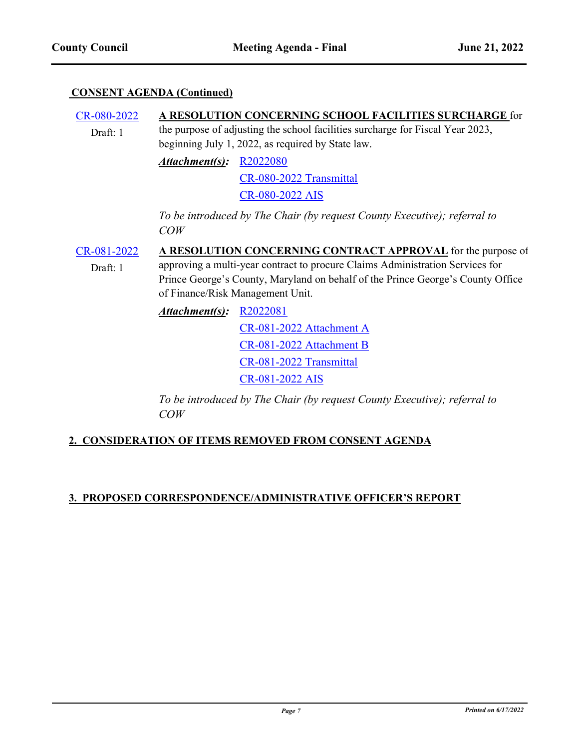### **CONSENT AGENDA (Continued)**

#### [CR-080-2022](http://princegeorgescountymd.legistar.com/gateway.aspx?m=l&id=/matter.aspx?key=15086) **A RESOLUTION CONCERNING SCHOOL FACILITIES SURCHARGE** for the purpose of adjusting the school facilities surcharge for Fiscal Year 2023, beginning July 1, 2022, as required by State law. Draft: 1

*Attachment(s):* [R2022080](http://princegeorgescountymd.legistar.com/gateway.aspx?M=F&ID=4d677557-7b91-4fbd-bcbc-e02c589eea05.docx)

[CR-080-2022 Transmittal](http://princegeorgescountymd.legistar.com/gateway.aspx?M=F&ID=de2e031c-7c4c-452c-a39d-6eab41b17ceb.pdf)

[CR-080-2022 AIS](http://princegeorgescountymd.legistar.com/gateway.aspx?M=F&ID=01c7d2db-fb09-40ae-b3ab-2bb1dd7b3d5e.pdf)

*To be introduced by The Chair (by request County Executive); referral to COW*

# [CR-081-2022](http://princegeorgescountymd.legistar.com/gateway.aspx?m=l&id=/matter.aspx?key=15110) **A RESOLUTION CONCERNING CONTRACT APPROVAL** for the purpose of

Draft: 1

approving a multi-year contract to procure Claims Administration Services for Prince George's County, Maryland on behalf of the Prince George's County Office of Finance/Risk Management Unit.

*Attachment(s):* [R2022081](http://princegeorgescountymd.legistar.com/gateway.aspx?M=F&ID=0404c34b-a46c-4736-acaf-e337c4fbd935.docx)

[CR-081-2022 Attachment A](http://princegeorgescountymd.legistar.com/gateway.aspx?M=F&ID=7b4d5976-65f7-4cf3-b91e-5baacff2a0c6.pdf)

[CR-081-2022 Attachment B](http://princegeorgescountymd.legistar.com/gateway.aspx?M=F&ID=5eb2180f-7381-48da-8cc7-55c5265a5be1.pdf)

[CR-081-2022 Transmittal](http://princegeorgescountymd.legistar.com/gateway.aspx?M=F&ID=6919dcc6-0636-4633-adc2-6f452432a60f.pdf)

[CR-081-2022 AIS](http://princegeorgescountymd.legistar.com/gateway.aspx?M=F&ID=b85e45d8-7158-4ae4-b942-c30798e6fd8f.pdf)

*To be introduced by The Chair (by request County Executive); referral to COW*

# **2. CONSIDERATION OF ITEMS REMOVED FROM CONSENT AGENDA**

# **3. PROPOSED CORRESPONDENCE/ADMINISTRATIVE OFFICER'S REPORT**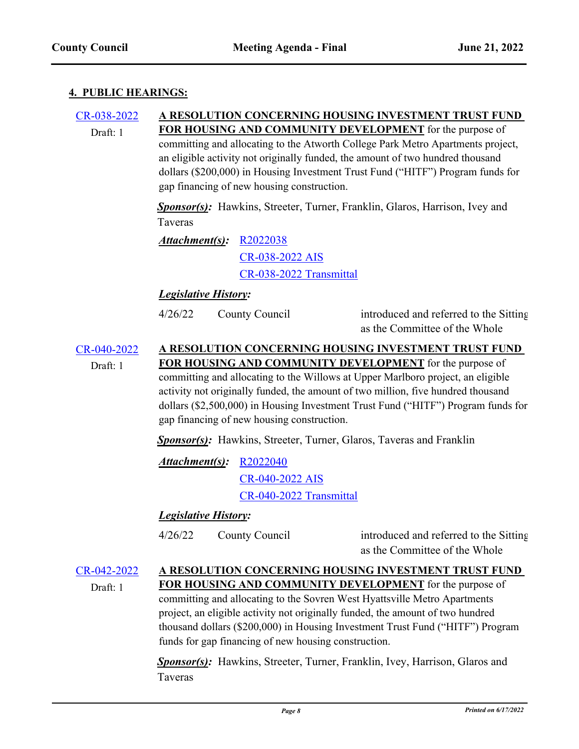### **4. PUBLIC HEARINGS:**

### [CR-038-2022](http://princegeorgescountymd.legistar.com/gateway.aspx?m=l&id=/matter.aspx?key=14896) **A RESOLUTION CONCERNING HOUSING INVESTMENT TRUST FUND FOR HOUSING AND COMMUNITY DEVELOPMENT** for the purpose of committing and allocating to the Atworth College Park Metro Apartments project, an eligible activity not originally funded, the amount of two hundred thousand dollars (\$200,000) in Housing Investment Trust Fund ("HITF") Program funds for gap financing of new housing construction. Draft: 1

*Sponsor(s):* Hawkins, Streeter, Turner, Franklin, Glaros, Harrison, Ivey and Taveras

*Attachment(s):* [R2022038](http://princegeorgescountymd.legistar.com/gateway.aspx?M=F&ID=8be91132-8905-4664-9ca2-87356de62613.docx) [CR-038-2022 AIS](http://princegeorgescountymd.legistar.com/gateway.aspx?M=F&ID=5c80dfda-cef0-46bb-8a8c-56ca55de3556.pdf) [CR-038-2022 Transmittal](http://princegeorgescountymd.legistar.com/gateway.aspx?M=F&ID=ecdab302-bd1c-47cc-90aa-96537b0b7b3c.pdf)

# *Legislative History:*

4/26/22 County Council

introduced and referred to the Sitting as the Committee of the Whole

[CR-040-2022](http://princegeorgescountymd.legistar.com/gateway.aspx?m=l&id=/matter.aspx?key=14895) **A RESOLUTION CONCERNING HOUSING INVESTMENT TRUST FUND FOR HOUSING AND COMMUNITY DEVELOPMENT** for the purpose of committing and allocating to the Willows at Upper Marlboro project, an eligible activity not originally funded, the amount of two million, five hundred thousand dollars (\$2,500,000) in Housing Investment Trust Fund ("HITF") Program funds for gap financing of new housing construction. Draft: 1

*Sponsor(s):* Hawkins, Streeter, Turner, Glaros, Taveras and Franklin

*Attachment(s):* [R2022040](http://princegeorgescountymd.legistar.com/gateway.aspx?M=F&ID=85f3437e-caa7-4ef4-bded-021a9548126d.docx)

[CR-040-2022 AIS](http://princegeorgescountymd.legistar.com/gateway.aspx?M=F&ID=fea47165-2f17-410f-9199-ea0694b61fd9.pdf) [CR-040-2022 Transmittal](http://princegeorgescountymd.legistar.com/gateway.aspx?M=F&ID=a67ebea8-2686-45fe-bcea-8866975281f7.pdf)

# *Legislative History:*

4/26/22 County Council

introduced and referred to the Sitting as the Committee of the Whole

### [CR-042-2022](http://princegeorgescountymd.legistar.com/gateway.aspx?m=l&id=/matter.aspx?key=14893) **A RESOLUTION CONCERNING HOUSING INVESTMENT TRUST FUND FOR HOUSING AND COMMUNITY DEVELOPMENT** for the purpose of committing and allocating to the Sovren West Hyattsville Metro Apartments project, an eligible activity not originally funded, the amount of two hundred thousand dollars (\$200,000) in Housing Investment Trust Fund ("HITF") Program funds for gap financing of new housing construction. Draft: 1

*Sponsor(s):* Hawkins, Streeter, Turner, Franklin, Ivey, Harrison, Glaros and Taveras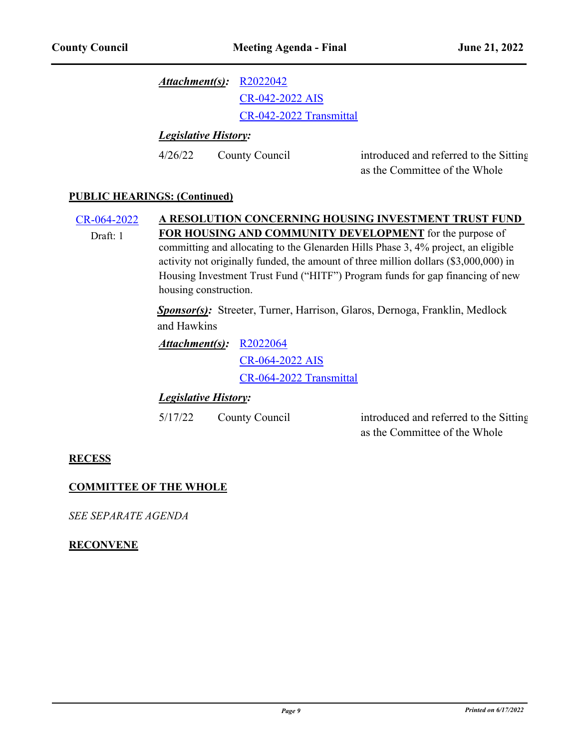*Attachment(s):* [R2022042](http://princegeorgescountymd.legistar.com/gateway.aspx?M=F&ID=e1737bc2-6e25-49f3-847d-c9112752cc63.docx)

[CR-042-2022 AIS](http://princegeorgescountymd.legistar.com/gateway.aspx?M=F&ID=c8059597-7653-4459-bd9e-0cc304109f9c.pdf)

[CR-042-2022 Transmittal](http://princegeorgescountymd.legistar.com/gateway.aspx?M=F&ID=caca786c-6b7e-4682-8bc5-0ffcd13d7900.pdf)

*Legislative History:*

4/26/22 County Council

introduced and referred to the Sitting as the Committee of the Whole

### **PUBLIC HEARINGS: (Continued)**

[CR-064-2022](http://princegeorgescountymd.legistar.com/gateway.aspx?m=l&id=/matter.aspx?key=14997) **A RESOLUTION CONCERNING HOUSING INVESTMENT TRUST FUND FOR HOUSING AND COMMUNITY DEVELOPMENT** for the purpose of committing and allocating to the Glenarden Hills Phase 3, 4% project, an eligible activity not originally funded, the amount of three million dollars (\$3,000,000) in Housing Investment Trust Fund ("HITF") Program funds for gap financing of new housing construction. Draft: 1

> *Sponsor(s):* Streeter, Turner, Harrison, Glaros, Dernoga, Franklin, Medlock and Hawkins

*Attachment(s):* [R2022064](http://princegeorgescountymd.legistar.com/gateway.aspx?M=F&ID=29a17990-7555-433d-8d86-1f7b6cbfb0a5.docx) [CR-064-2022 AIS](http://princegeorgescountymd.legistar.com/gateway.aspx?M=F&ID=7c52d687-ffd8-4ab3-a973-dcf191e7487b.pdf) [CR-064-2022 Transmittal](http://princegeorgescountymd.legistar.com/gateway.aspx?M=F&ID=771c53d3-be48-4b1c-84c2-a45f29ec9596.pdf)

# *Legislative History:*

5/17/22 County Council

introduced and referred to the Sitting as the Committee of the Whole

# **RECESS**

# **COMMITTEE OF THE WHOLE**

*SEE SEPARATE AGENDA*

### **RECONVENE**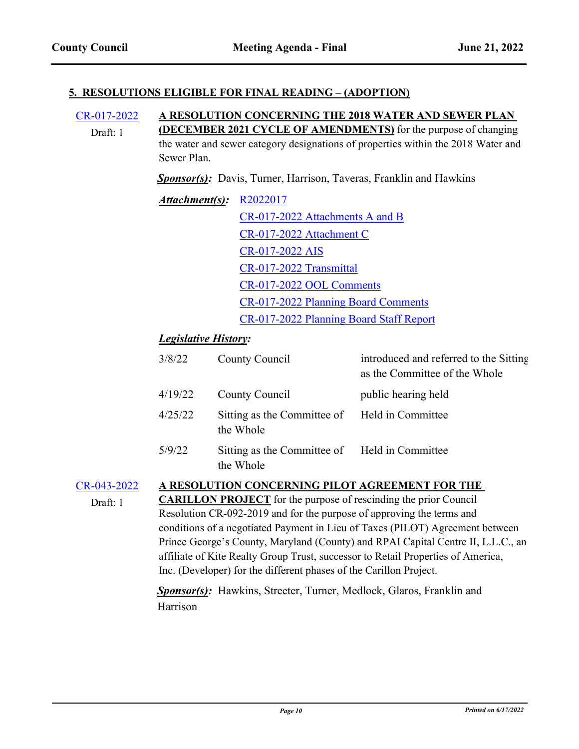### **5. RESOLUTIONS ELIGIBLE FOR FINAL READING – (ADOPTION)**

[CR-017-2022](http://princegeorgescountymd.legistar.com/gateway.aspx?m=l&id=/matter.aspx?key=14655) **A RESOLUTION CONCERNING THE 2018 WATER AND SEWER PLAN (DECEMBER 2021 CYCLE OF AMENDMENTS)** for the purpose of changing the water and sewer category designations of properties within the 2018 Water and Sewer Plan. Draft: 1

*Sponsor(s):* Davis, Turner, Harrison, Taveras, Franklin and Hawkins

| <i>Attachment(s):</i> R2022017 |                                         |
|--------------------------------|-----------------------------------------|
|                                | CR-017-2022 Attachments A and B         |
|                                | CR-017-2022 Attachment C                |
|                                | CR-017-2022 AIS                         |
|                                | CR-017-2022 Transmittal                 |
|                                | CR-017-2022 OOL Comments                |
|                                | CR-017-2022 Planning Board Comments     |
|                                | CR-017-2022 Planning Board Staff Report |

# *Legislative History:*

| 3/8/22  | County Council                                             | introduced and referred to the Sitting<br>as the Committee of the Whole |
|---------|------------------------------------------------------------|-------------------------------------------------------------------------|
| 4/19/22 | County Council                                             | public hearing held                                                     |
| 4/25/22 | Sitting as the Committee of Held in Committee<br>the Whole |                                                                         |
| 5/9/22  | Sitting as the Committee of Held in Committee<br>the Whole |                                                                         |

### [CR-043-2022](http://princegeorgescountymd.legistar.com/gateway.aspx?m=l&id=/matter.aspx?key=14879) **A RESOLUTION CONCERNING PILOT AGREEMENT FOR THE**

Draft: 1

**CARILLON PROJECT** for the purpose of rescinding the prior Council Resolution CR-092-2019 and for the purpose of approving the terms and conditions of a negotiated Payment in Lieu of Taxes (PILOT) Agreement between Prince George's County, Maryland (County) and RPAI Capital Centre II, L.L.C., an affiliate of Kite Realty Group Trust, successor to Retail Properties of America, Inc. (Developer) for the different phases of the Carillon Project.

*Sponsor(s):* Hawkins, Streeter, Turner, Medlock, Glaros, Franklin and Harrison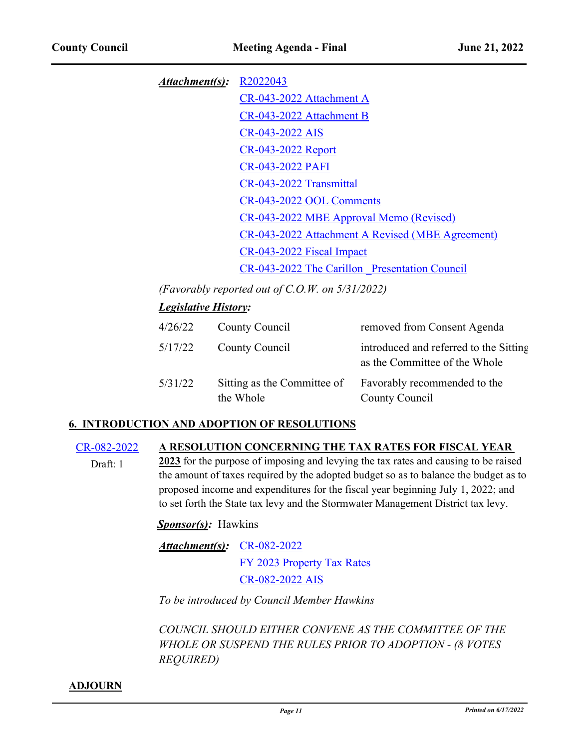*Attachment(s):* [R2022043](http://princegeorgescountymd.legistar.com/gateway.aspx?M=F&ID=2ea1d8fe-71f0-4e4c-bc7b-a59963dfc817.docx) [CR-043-2022 Attachment A](http://princegeorgescountymd.legistar.com/gateway.aspx?M=F&ID=f633842a-55f8-47f1-90d1-7dff757f4bdb.pdf) [CR-043-2022 Attachment B](http://princegeorgescountymd.legistar.com/gateway.aspx?M=F&ID=af2d2c94-db5d-48cf-9fd3-ce625becda0d.pdf) [CR-043-2022 AIS](http://princegeorgescountymd.legistar.com/gateway.aspx?M=F&ID=256cf1d4-4e45-406e-bbb6-95590d79350d.pdf) [CR-043-2022 Report](http://princegeorgescountymd.legistar.com/gateway.aspx?M=F&ID=4224c1ac-2d63-4036-a5d1-f7b97c73ac4e.doc) [CR-043-2022 PAFI](http://princegeorgescountymd.legistar.com/gateway.aspx?M=F&ID=a7f66341-a5d0-461c-bbcd-96647338615c.pdf) [CR-043-2022 Transmittal](http://princegeorgescountymd.legistar.com/gateway.aspx?M=F&ID=447a6888-bdf0-4222-b0b7-ff9711875fae.pdf) [CR-043-2022 OOL Comments](http://princegeorgescountymd.legistar.com/gateway.aspx?M=F&ID=46aff8f8-7fca-4f39-a286-edf726b445ec.pdf) [CR-043-2022 MBE Approval Memo \(Revised\)](http://princegeorgescountymd.legistar.com/gateway.aspx?M=F&ID=4591ac49-1ecc-4097-89fe-e75ba6d6bc7c.doc) [CR-043-2022 Attachment A Revised \(MBE Agreement\)](http://princegeorgescountymd.legistar.com/gateway.aspx?M=F&ID=0925c291-9897-4d71-8504-eba91f949b81.pdf) [CR-043-2022 Fiscal Impact](http://princegeorgescountymd.legistar.com/gateway.aspx?M=F&ID=08c34a5c-f826-45b5-82da-4d5bfa2cde01.pdf) [CR-043-2022 The Carillon \\_Presentation Council](http://princegeorgescountymd.legistar.com/gateway.aspx?M=F&ID=bcb4cfb4-36bb-4733-938e-e49dd6e0578c.pptx)

*(Favorably reported out of C.O.W. on 5/31/2022)*

# *Legislative History:*

| 4/26/22 | County Council                           | removed from Consent Agenda                                             |
|---------|------------------------------------------|-------------------------------------------------------------------------|
| 5/17/22 | County Council                           | introduced and referred to the Sitting<br>as the Committee of the Whole |
| 5/31/22 | Sitting as the Committee of<br>the Whole | Favorably recommended to the<br>County Council                          |

# **6. INTRODUCTION AND ADOPTION OF RESOLUTIONS**

### [CR-082-2022](http://princegeorgescountymd.legistar.com/gateway.aspx?m=l&id=/matter.aspx?key=15111) **A RESOLUTION CONCERNING THE TAX RATES FOR FISCAL YEAR**

**2023** for the purpose of imposing and levying the tax rates and causing to be raised the amount of taxes required by the adopted budget so as to balance the budget as to proposed income and expenditures for the fiscal year beginning July 1, 2022; and to set forth the State tax levy and the Stormwater Management District tax levy. Draft: 1

*Sponsor(s):* Hawkins

*Attachment(s):* [CR-082-2022](http://princegeorgescountymd.legistar.com/gateway.aspx?M=F&ID=77ad66ab-bd2d-4221-8768-de2156cbf983.doc) [FY 2023 Property Tax Rates](http://princegeorgescountymd.legistar.com/gateway.aspx?M=F&ID=cdf4fe19-2a10-4844-b452-abf43c6c7f91.pdf) [CR-082-2022 AIS](http://princegeorgescountymd.legistar.com/gateway.aspx?M=F&ID=4810942a-cfc5-46fb-a20c-940a6fd0d5ea.pdf)

*To be introduced by Council Member Hawkins*

*COUNCIL SHOULD EITHER CONVENE AS THE COMMITTEE OF THE WHOLE OR SUSPEND THE RULES PRIOR TO ADOPTION - (8 VOTES REQUIRED)*

### **ADJOURN**